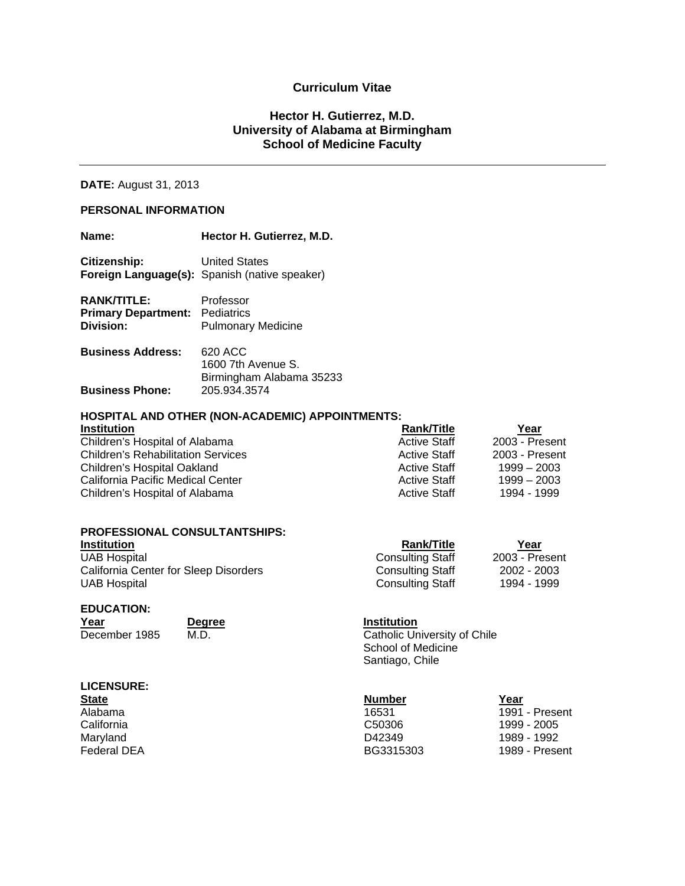### **Curriculum Vitae**

### **Hector H. Gutierrez, M.D. University of Alabama at Birmingham School of Medicine Faculty**

### **DATE:** August 31, 2013

### **PERSONAL INFORMATION**

| Name:                                                                    | Hector H. Gutierrez, M.D.                                             |
|--------------------------------------------------------------------------|-----------------------------------------------------------------------|
| Citizenship:                                                             | <b>United States</b><br>Foreign Language(s): Spanish (native speaker) |
| <b>RANK/TITLE:</b><br><b>Primary Department: Pediatrics</b><br>Division: | Professor<br><b>Pulmonary Medicine</b>                                |
| <b>Business Address:</b>                                                 | 620 ACC<br>$1000 \pm 1$ $\sim$ 0                                      |

|                        | 1600 7th Avenue S.       |  |
|------------------------|--------------------------|--|
|                        | Birmingham Alabama 35233 |  |
| <b>Business Phone:</b> | 205.934.3574             |  |

### **HOSPITAL AND OTHER (NON-ACADEMIC) APPOINTMENTS:**

| <b>Institution</b>                        | <b>Rank/Title</b>   | Year           |
|-------------------------------------------|---------------------|----------------|
| Children's Hospital of Alabama            | <b>Active Staff</b> | 2003 - Present |
| <b>Children's Rehabilitation Services</b> | <b>Active Staff</b> | 2003 - Present |
| Children's Hospital Oakland               | <b>Active Staff</b> | $1999 - 2003$  |
| California Pacific Medical Center         | <b>Active Staff</b> | $1999 - 2003$  |
| Children's Hospital of Alabama            | <b>Active Staff</b> | 1994 - 1999    |

| <b>PROFESSIONAL CONSULTANTSHIPS:</b>         |                         |                |
|----------------------------------------------|-------------------------|----------------|
| <b>Institution</b>                           | <b>Rank/Title</b>       | Year           |
| UAB Hospital                                 | <b>Consulting Staff</b> | 2003 - Present |
| <b>California Center for Sleep Disorders</b> | <b>Consulting Staff</b> | 2002 - 2003    |
| <b>UAB Hospital</b>                          | <b>Consulting Staff</b> | 1994 - 1999    |
|                                              |                         |                |

# **EDUCATION:**

**Year Degree Institution**<br>December 1985 M.D. Catholic Un

Catholic University of Chile School of Medicine Santiago, Chile

| <b>LICENSURE:</b>  |                    |                |
|--------------------|--------------------|----------------|
| <b>State</b>       | <b>Number</b>      | Year           |
| Alabama            | 16531              | 1991 - Present |
| California         | C <sub>50306</sub> | 1999 - 2005    |
| Maryland           | D42349             | 1989 - 1992    |
| <b>Federal DEA</b> | BG3315303          | 1989 - Present |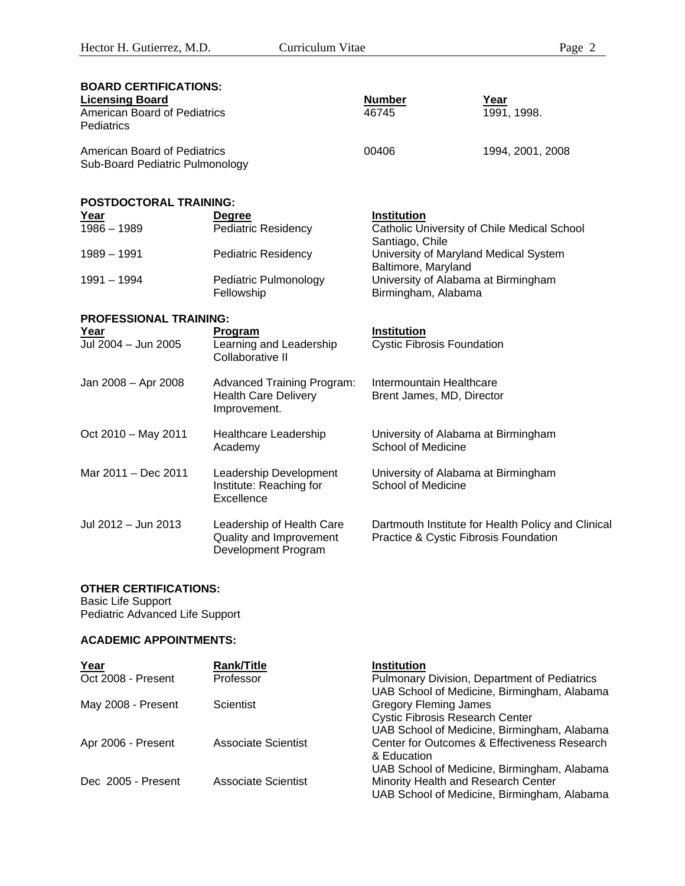| <b>BOARD CERTIFICATIONS:</b><br><b>Licensing Board</b><br><b>American Board of Pediatrics</b><br>Pediatrics |                                                                                  | <b>Number</b><br>46745                                           | Year<br>1991, 1998.                                |
|-------------------------------------------------------------------------------------------------------------|----------------------------------------------------------------------------------|------------------------------------------------------------------|----------------------------------------------------|
| <b>American Board of Pediatrics</b><br>Sub-Board Pediatric Pulmonology                                      |                                                                                  | 00406                                                            | 1994, 2001, 2008                                   |
| <b>POSTDOCTORAL TRAINING:</b>                                                                               |                                                                                  |                                                                  |                                                    |
| Year                                                                                                        | <b>Degree</b>                                                                    | Institution                                                      |                                                    |
| $1986 - 1989$                                                                                               | Pediatric Residency                                                              | Santiago, Chile                                                  | Catholic University of Chile Medical School        |
| 1989 - 1991                                                                                                 | <b>Pediatric Residency</b>                                                       | University of Maryland Medical System<br>Baltimore, Maryland     |                                                    |
| $1991 - 1994$                                                                                               | Pediatric Pulmonology<br>Fellowship                                              | University of Alabama at Birmingham<br>Birmingham, Alabama       |                                                    |
| <b>PROFESSIONAL TRAINING:</b>                                                                               |                                                                                  |                                                                  |                                                    |
| Year<br>Jul 2004 - Jun 2005                                                                                 | <b>Program</b><br>Learning and Leadership<br>Collaborative II                    | Institution<br><b>Cystic Fibrosis Foundation</b>                 |                                                    |
| Jan 2008 - Apr 2008                                                                                         | <b>Advanced Training Program:</b><br><b>Health Care Delivery</b><br>Improvement. | Intermountain Healthcare<br>Brent James, MD, Director            |                                                    |
| Oct 2010 - May 2011                                                                                         | Healthcare Leadership<br>Academy                                                 | University of Alabama at Birmingham<br>School of Medicine        |                                                    |
| Mar 2011 - Dec 2011                                                                                         | Leadership Development<br>Institute: Reaching for<br>Excellence                  | University of Alabama at Birmingham<br><b>School of Medicine</b> |                                                    |
| Jul 2012 - Jun 2013                                                                                         | Leadership of Health Care<br>Quality and Improvement<br>Development Program      | Practice & Cystic Fibrosis Foundation                            | Dartmouth Institute for Health Policy and Clinical |

### **OTHER CERTIFICATIONS:**

Basic Life Support Pediatric Advanced Life Support

### **ACADEMIC APPOINTMENTS:**

| Year               | <b>Rank/Title</b>   | <b>Institution</b>                           |
|--------------------|---------------------|----------------------------------------------|
| Oct 2008 - Present | Professor           | Pulmonary Division, Department of Pediatrics |
|                    |                     | UAB School of Medicine, Birmingham, Alabama  |
| May 2008 - Present | Scientist           | <b>Gregory Fleming James</b>                 |
|                    |                     | <b>Cystic Fibrosis Research Center</b>       |
|                    |                     | UAB School of Medicine, Birmingham, Alabama  |
| Apr 2006 - Present | Associate Scientist | Center for Outcomes & Effectiveness Research |
|                    |                     | & Education                                  |
|                    |                     | UAB School of Medicine, Birmingham, Alabama  |
| Dec 2005 - Present | Associate Scientist | Minority Health and Research Center          |
|                    |                     | UAB School of Medicine, Birmingham, Alabama  |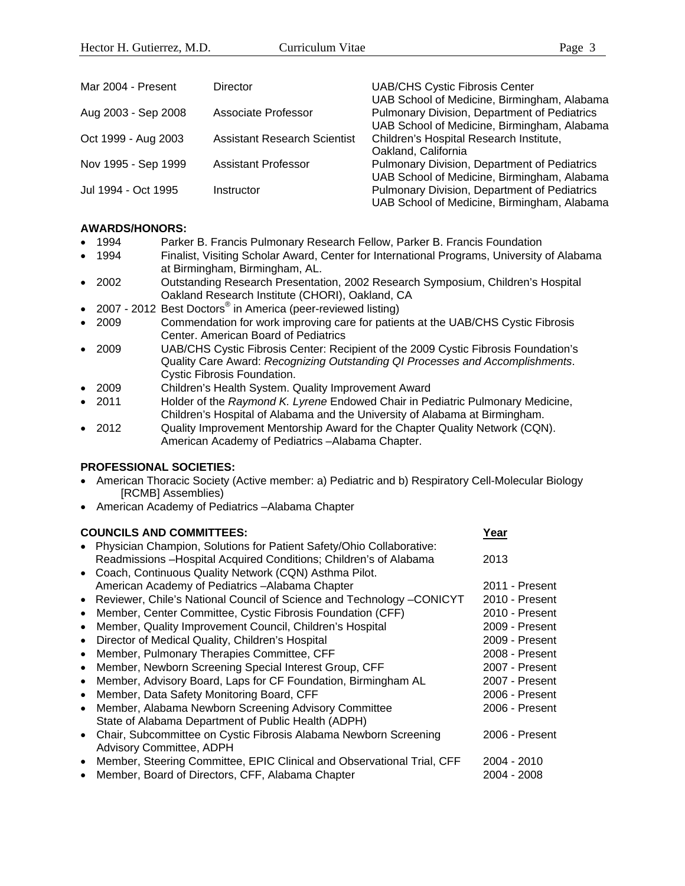| Mar 2004 - Present  | Director                            | <b>UAB/CHS Cystic Fibrosis Center</b><br>UAB School of Medicine, Birmingham, Alabama                                                       |
|---------------------|-------------------------------------|--------------------------------------------------------------------------------------------------------------------------------------------|
| Aug 2003 - Sep 2008 | Associate Professor                 | Pulmonary Division, Department of Pediatrics<br>UAB School of Medicine, Birmingham, Alabama                                                |
| Oct 1999 - Aug 2003 | <b>Assistant Research Scientist</b> | Children's Hospital Research Institute,<br>Oakland, California                                                                             |
| Nov 1995 - Sep 1999 | <b>Assistant Professor</b>          | Pulmonary Division, Department of Pediatrics                                                                                               |
| Jul 1994 - Oct 1995 | Instructor                          | UAB School of Medicine, Birmingham, Alabama<br>Pulmonary Division, Department of Pediatrics<br>UAB School of Medicine, Birmingham, Alabama |

### **AWARDS/HONORS:**

- 1994 Parker B. Francis Pulmonary Research Fellow, Parker B. Francis Foundation
- 1994 Finalist, Visiting Scholar Award, Center for International Programs, University of Alabama at Birmingham, Birmingham, AL.
- 2002 Outstanding Research Presentation, 2002 Research Symposium, Children's Hospital Oakland Research Institute (CHORI), Oakland, CA
- 2007 2012 Best Doctors<sup>®</sup> in America (peer-reviewed listing)
- 2009 Commendation for work improving care for patients at the UAB/CHS Cystic Fibrosis Center. American Board of Pediatrics
- 2009 UAB/CHS Cystic Fibrosis Center: Recipient of the 2009 Cystic Fibrosis Foundation's Quality Care Award: *Recognizing Outstanding QI Processes and Accomplishments*. Cystic Fibrosis Foundation.
- 2009 Children's Health System. Quality Improvement Award
- 2011 Holder of the *Raymond K. Lyrene* Endowed Chair in Pediatric Pulmonary Medicine, Children's Hospital of Alabama and the University of Alabama at Birmingham.
- 2012 Quality Improvement Mentorship Award for the Chapter Quality Network (CQN). American Academy of Pediatrics –Alabama Chapter.

### **PROFESSIONAL SOCIETIES:**

- American Thoracic Society (Active member: a) Pediatric and b) Respiratory Cell-Molecular Biology [RCMB] Assemblies)
- American Academy of Pediatrics –Alabama Chapter

### **COUNCILS AND COMMITTEES:**  $\frac{\text{Year}}{\text{Year}}$  Physician Champion, Solutions for Patient Safety/Ohio Collaborative: Readmissions –Hospital Acquired Conditions; Children's of Alabama 2013 Coach, Continuous Quality Network (CQN) Asthma Pilot. American Academy of Pediatrics –Alabama Chapter 2011 - Present • Reviewer, Chile's National Council of Science and Technology –CONICYT 2010 - Present • Member, Center Committee, Cystic Fibrosis Foundation (CFF) 2010 - Present • Member, Quality Improvement Council, Children's Hospital 2009 - Present • Director of Medical Quality, Children's Hospital 2009 - Present • Member, Pulmonary Therapies Committee, CFF 2008 - Present • Member, Newborn Screening Special Interest Group, CFF <br>• Member, Advisory Board, Laps for CF Foundation, Birmingham AL 2007 - Present • Member, Advisory Board, Laps for CF Foundation, Birmingham AL • Member, Data Safety Monitoring Board, CFF 2006 - Present Member, Alabama Newborn Screening Advisory Committee 2006 - Present State of Alabama Department of Public Health (ADPH) • Chair, Subcommittee on Cystic Fibrosis Alabama Newborn Screening 2006 - Present Advisory Committee, ADPH • Member, Steering Committee, EPIC Clinical and Observational Trial, CFF 2004 - 2010 • Member, Board of Directors, CFF, Alabama Chapter 2004 - 2004 - 2008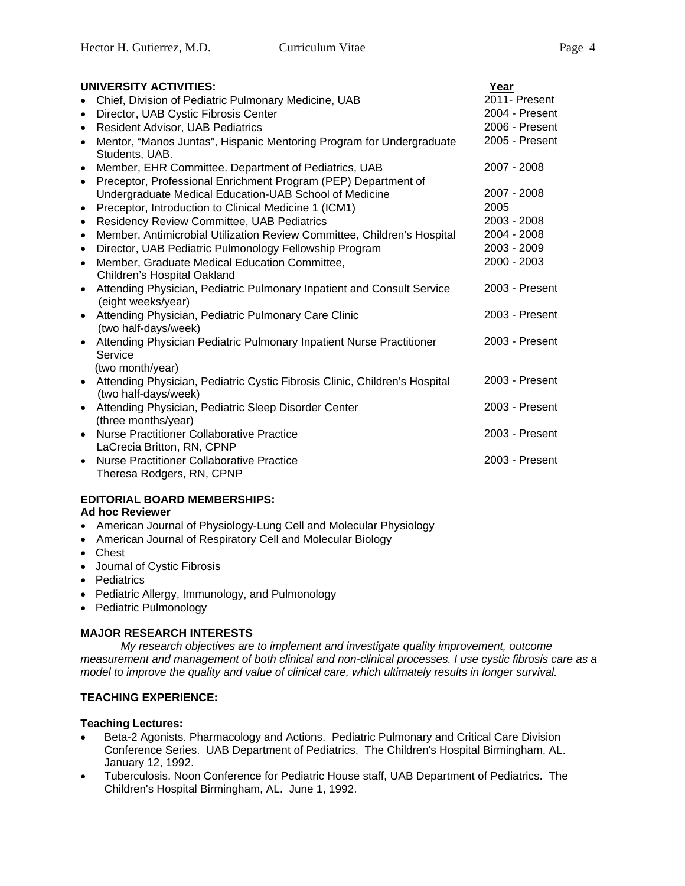| UNIVERSITY ACTIVITIES:                                                                                          | Year           |
|-----------------------------------------------------------------------------------------------------------------|----------------|
| Chief, Division of Pediatric Pulmonary Medicine, UAB<br>$\bullet$                                               | 2011- Present  |
| Director, UAB Cystic Fibrosis Center<br>$\bullet$                                                               | 2004 - Present |
| <b>Resident Advisor, UAB Pediatrics</b><br>$\bullet$                                                            | 2006 - Present |
| Mentor, "Manos Juntas", Hispanic Mentoring Program for Undergraduate<br>$\bullet$<br>Students, UAB.             | 2005 - Present |
| Member, EHR Committee. Department of Pediatrics, UAB<br>$\bullet$                                               | 2007 - 2008    |
| Preceptor, Professional Enrichment Program (PEP) Department of<br>$\bullet$                                     |                |
| Undergraduate Medical Education-UAB School of Medicine                                                          | 2007 - 2008    |
| Preceptor, Introduction to Clinical Medicine 1 (ICM1)<br>$\bullet$                                              | 2005           |
| <b>Residency Review Committee, UAB Pediatrics</b><br>$\bullet$                                                  | 2003 - 2008    |
| Member, Antimicrobial Utilization Review Committee, Children's Hospital<br>$\bullet$                            | 2004 - 2008    |
| Director, UAB Pediatric Pulmonology Fellowship Program<br>$\bullet$                                             | 2003 - 2009    |
| Member, Graduate Medical Education Committee,<br>$\bullet$<br>Children's Hospital Oakland                       | 2000 - 2003    |
| Attending Physician, Pediatric Pulmonary Inpatient and Consult Service<br>$\bullet$<br>(eight weeks/year)       | 2003 - Present |
| Attending Physician, Pediatric Pulmonary Care Clinic<br>$\bullet$<br>(two half-days/week)                       | 2003 - Present |
| Attending Physician Pediatric Pulmonary Inpatient Nurse Practitioner<br>$\bullet$                               | 2003 - Present |
| Service                                                                                                         |                |
| (two month/year)                                                                                                |                |
| Attending Physician, Pediatric Cystic Fibrosis Clinic, Children's Hospital<br>$\bullet$<br>(two half-days/week) | 2003 - Present |
| Attending Physician, Pediatric Sleep Disorder Center<br>$\bullet$                                               | 2003 - Present |
| (three months/year)                                                                                             |                |
| <b>Nurse Practitioner Collaborative Practice</b><br>$\bullet$                                                   | 2003 - Present |
| LaCrecia Britton, RN, CPNP                                                                                      |                |
| <b>Nurse Practitioner Collaborative Practice</b><br>$\bullet$                                                   | 2003 - Present |
| Theresa Rodgers, RN, CPNP                                                                                       |                |

### **EDITORIAL BOARD MEMBERSHIPS: Ad hoc Reviewer**

- American Journal of Physiology-Lung Cell and Molecular Physiology
- American Journal of Respiratory Cell and Molecular Biology
- Chest
- Journal of Cystic Fibrosis
- Pediatrics
- Pediatric Allergy, Immunology, and Pulmonology
- Pediatric Pulmonology

### **MAJOR RESEARCH INTERESTS**

*My research objectives are to implement and investigate quality improvement, outcome measurement and management of both clinical and non-clinical processes. I use cystic fibrosis care as a model to improve the quality and value of clinical care, which ultimately results in longer survival.*

### **TEACHING EXPERIENCE:**

### **Teaching Lectures:**

- Beta-2 Agonists. Pharmacology and Actions. Pediatric Pulmonary and Critical Care Division Conference Series. UAB Department of Pediatrics. The Children's Hospital Birmingham, AL. January 12, 1992.
- Tuberculosis. Noon Conference for Pediatric House staff, UAB Department of Pediatrics. The Children's Hospital Birmingham, AL. June 1, 1992.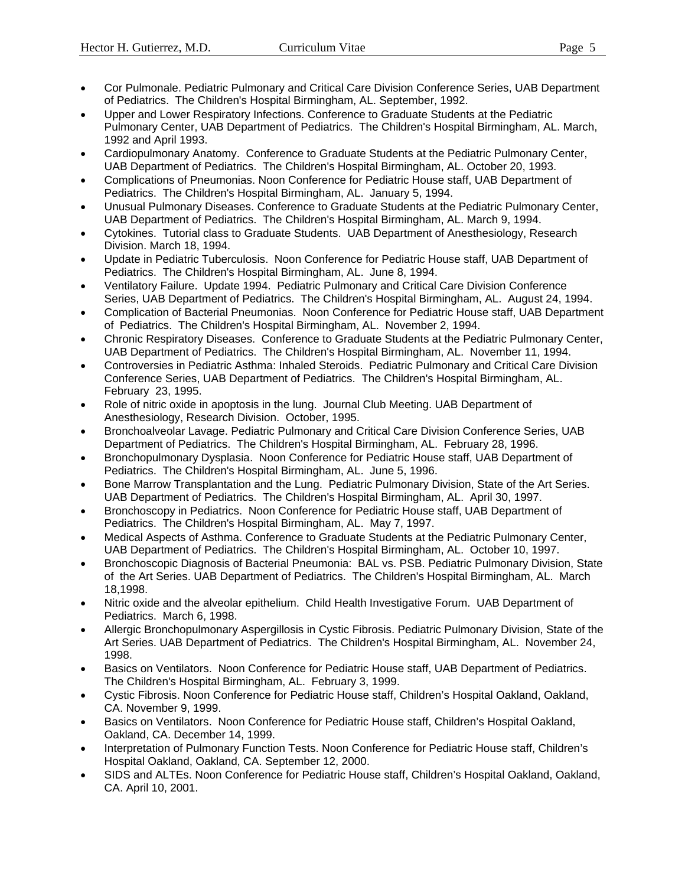- Cor Pulmonale. Pediatric Pulmonary and Critical Care Division Conference Series, UAB Department of Pediatrics. The Children's Hospital Birmingham, AL. September, 1992.
- Upper and Lower Respiratory Infections. Conference to Graduate Students at the Pediatric Pulmonary Center, UAB Department of Pediatrics. The Children's Hospital Birmingham, AL. March, 1992 and April 1993.
- Cardiopulmonary Anatomy. Conference to Graduate Students at the Pediatric Pulmonary Center, UAB Department of Pediatrics. The Children's Hospital Birmingham, AL. October 20, 1993.
- Complications of Pneumonias. Noon Conference for Pediatric House staff, UAB Department of Pediatrics. The Children's Hospital Birmingham, AL. January 5, 1994.
- Unusual Pulmonary Diseases. Conference to Graduate Students at the Pediatric Pulmonary Center, UAB Department of Pediatrics. The Children's Hospital Birmingham, AL. March 9, 1994.
- Cytokines. Tutorial class to Graduate Students. UAB Department of Anesthesiology, Research Division. March 18, 1994.
- Update in Pediatric Tuberculosis. Noon Conference for Pediatric House staff, UAB Department of Pediatrics. The Children's Hospital Birmingham, AL. June 8, 1994.
- Ventilatory Failure. Update 1994. Pediatric Pulmonary and Critical Care Division Conference Series, UAB Department of Pediatrics. The Children's Hospital Birmingham, AL. August 24, 1994.
- Complication of Bacterial Pneumonias. Noon Conference for Pediatric House staff, UAB Department of Pediatrics. The Children's Hospital Birmingham, AL. November 2, 1994.
- Chronic Respiratory Diseases. Conference to Graduate Students at the Pediatric Pulmonary Center, UAB Department of Pediatrics. The Children's Hospital Birmingham, AL. November 11, 1994.
- Controversies in Pediatric Asthma: Inhaled Steroids. Pediatric Pulmonary and Critical Care Division Conference Series, UAB Department of Pediatrics. The Children's Hospital Birmingham, AL. February 23, 1995.
- Role of nitric oxide in apoptosis in the lung. Journal Club Meeting. UAB Department of Anesthesiology, Research Division. October, 1995.
- Bronchoalveolar Lavage. Pediatric Pulmonary and Critical Care Division Conference Series, UAB Department of Pediatrics. The Children's Hospital Birmingham, AL. February 28, 1996.
- Bronchopulmonary Dysplasia. Noon Conference for Pediatric House staff, UAB Department of Pediatrics. The Children's Hospital Birmingham, AL. June 5, 1996.
- Bone Marrow Transplantation and the Lung. Pediatric Pulmonary Division, State of the Art Series. UAB Department of Pediatrics. The Children's Hospital Birmingham, AL. April 30, 1997.
- Bronchoscopy in Pediatrics. Noon Conference for Pediatric House staff, UAB Department of Pediatrics. The Children's Hospital Birmingham, AL. May 7, 1997.
- Medical Aspects of Asthma. Conference to Graduate Students at the Pediatric Pulmonary Center, UAB Department of Pediatrics. The Children's Hospital Birmingham, AL. October 10, 1997.
- Bronchoscopic Diagnosis of Bacterial Pneumonia: BAL vs. PSB. Pediatric Pulmonary Division, State of the Art Series. UAB Department of Pediatrics. The Children's Hospital Birmingham, AL. March 18,1998.
- Nitric oxide and the alveolar epithelium. Child Health Investigative Forum. UAB Department of Pediatrics. March 6, 1998.
- Allergic Bronchopulmonary Aspergillosis in Cystic Fibrosis. Pediatric Pulmonary Division, State of the Art Series. UAB Department of Pediatrics. The Children's Hospital Birmingham, AL. November 24, 1998.
- Basics on Ventilators. Noon Conference for Pediatric House staff, UAB Department of Pediatrics. The Children's Hospital Birmingham, AL. February 3, 1999.
- Cystic Fibrosis. Noon Conference for Pediatric House staff, Children's Hospital Oakland, Oakland, CA. November 9, 1999.
- Basics on Ventilators. Noon Conference for Pediatric House staff, Children's Hospital Oakland, Oakland, CA. December 14, 1999.
- Interpretation of Pulmonary Function Tests. Noon Conference for Pediatric House staff, Children's Hospital Oakland, Oakland, CA. September 12, 2000.
- SIDS and ALTEs. Noon Conference for Pediatric House staff, Children's Hospital Oakland, Oakland, CA. April 10, 2001.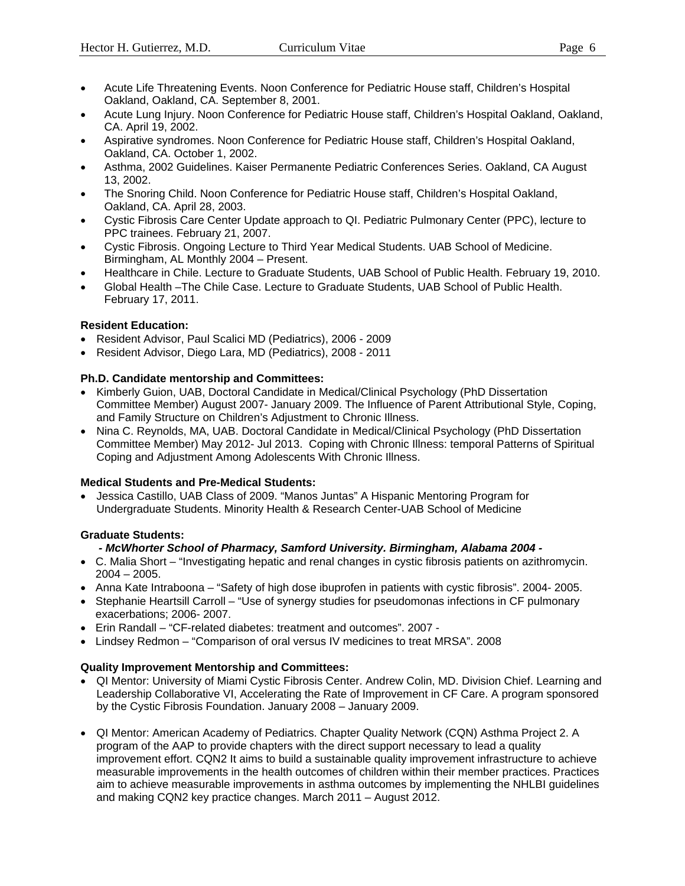- Acute Life Threatening Events. Noon Conference for Pediatric House staff, Children's Hospital Oakland, Oakland, CA. September 8, 2001.
- Acute Lung Injury. Noon Conference for Pediatric House staff, Children's Hospital Oakland, Oakland, CA. April 19, 2002.
- Aspirative syndromes. Noon Conference for Pediatric House staff, Children's Hospital Oakland, Oakland, CA. October 1, 2002.
- Asthma, 2002 Guidelines. Kaiser Permanente Pediatric Conferences Series. Oakland, CA August 13, 2002.
- The Snoring Child. Noon Conference for Pediatric House staff, Children's Hospital Oakland, Oakland, CA. April 28, 2003.
- Cystic Fibrosis Care Center Update approach to QI. Pediatric Pulmonary Center (PPC), lecture to PPC trainees. February 21, 2007.
- Cystic Fibrosis. Ongoing Lecture to Third Year Medical Students. UAB School of Medicine. Birmingham, AL Monthly 2004 – Present.
- Healthcare in Chile. Lecture to Graduate Students, UAB School of Public Health. February 19, 2010.
- Global Health –The Chile Case. Lecture to Graduate Students, UAB School of Public Health. February 17, 2011.

### **Resident Education:**

- Resident Advisor, Paul Scalici MD (Pediatrics), 2006 2009
- Resident Advisor, Diego Lara, MD (Pediatrics), 2008 2011

### **Ph.D. Candidate mentorship and Committees:**

- Kimberly Guion, UAB, Doctoral Candidate in Medical/Clinical Psychology (PhD Dissertation Committee Member) August 2007- January 2009. The Influence of Parent Attributional Style, Coping, and Family Structure on Children's Adjustment to Chronic Illness.
- Nina C. Reynolds, MA, UAB. Doctoral Candidate in Medical/Clinical Psychology (PhD Dissertation Committee Member) May 2012- Jul 2013. Coping with Chronic Illness: temporal Patterns of Spiritual Coping and Adjustment Among Adolescents With Chronic Illness.

### **Medical Students and Pre-Medical Students:**

• Jessica Castillo, UAB Class of 2009. "Manos Juntas" A Hispanic Mentoring Program for Undergraduate Students. Minority Health & Research Center-UAB School of Medicine

### **Graduate Students:**

### *- McWhorter School of Pharmacy, Samford University. Birmingham, Alabama 2004 -*

- C. Malia Short "Investigating hepatic and renal changes in cystic fibrosis patients on azithromycin.  $2004 - 2005$ .
- Anna Kate Intraboona "Safety of high dose ibuprofen in patients with cystic fibrosis". 2004- 2005.
- Stephanie Heartsill Carroll "Use of synergy studies for pseudomonas infections in CF pulmonary exacerbations; 2006- 2007.
- Erin Randall "CF-related diabetes: treatment and outcomes". 2007 -
- Lindsey Redmon "Comparison of oral versus IV medicines to treat MRSA". 2008

### **Quality Improvement Mentorship and Committees:**

- QI Mentor: University of Miami Cystic Fibrosis Center. Andrew Colin, MD. Division Chief. Learning and Leadership Collaborative VI, Accelerating the Rate of Improvement in CF Care. A program sponsored by the Cystic Fibrosis Foundation. January 2008 – January 2009.
- QI Mentor: American Academy of Pediatrics. Chapter Quality Network (CQN) Asthma Project 2. A program of the AAP to provide chapters with the direct support necessary to lead a quality improvement effort. CQN2 It aims to build a sustainable quality improvement infrastructure to achieve measurable improvements in the health outcomes of children within their member practices. Practices aim to achieve measurable improvements in asthma outcomes by implementing the NHLBI guidelines and making CQN2 key practice changes. March 2011 – August 2012.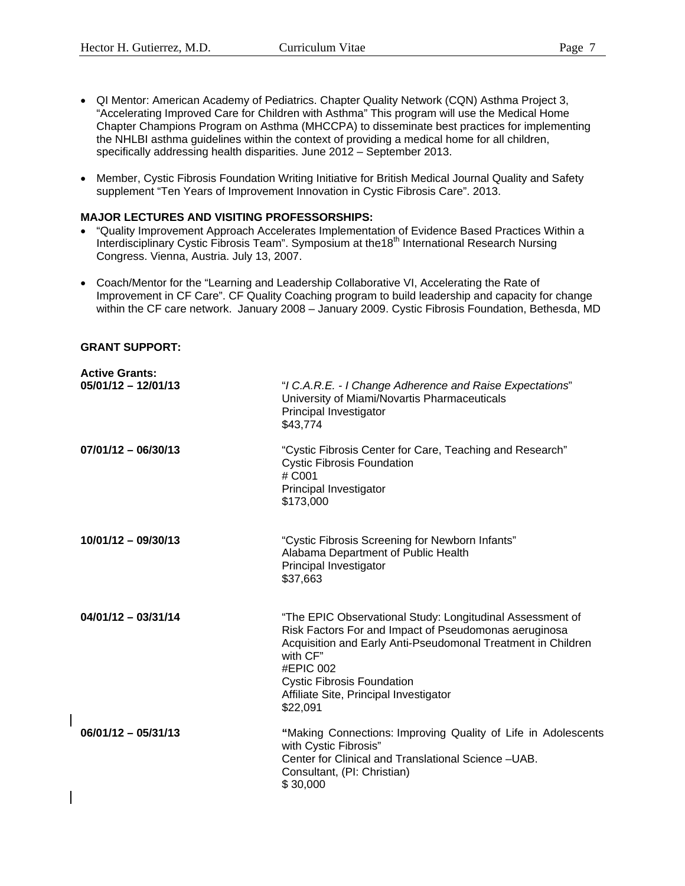- QI Mentor: American Academy of Pediatrics. Chapter Quality Network (CQN) Asthma Project 3, "Accelerating Improved Care for Children with Asthma" This program will use the Medical Home Chapter Champions Program on Asthma (MHCCPA) to disseminate best practices for implementing the NHLBI asthma guidelines within the context of providing a medical home for all children, specifically addressing health disparities. June 2012 – September 2013.
- Member, Cystic Fibrosis Foundation Writing Initiative for British Medical Journal Quality and Safety supplement "Ten Years of Improvement Innovation in Cystic Fibrosis Care". 2013.

### **MAJOR LECTURES AND VISITING PROFESSORSHIPS:**

- "Quality Improvement Approach Accelerates Implementation of Evidence Based Practices Within a Interdisciplinary Cystic Fibrosis Team". Symposium at the18<sup>th</sup> International Research Nursing Congress. Vienna, Austria. July 13, 2007.
- Coach/Mentor for the "Learning and Leadership Collaborative VI, Accelerating the Rate of Improvement in CF Care". CF Quality Coaching program to build leadership and capacity for change within the CF care network. January 2008 – January 2009. Cystic Fibrosis Foundation, Bethesda, MD

### **GRANT SUPPORT:**

| <b>Active Grants:</b><br>$05/01/12 - 12/01/13$ | "I C.A.R.E. - I Change Adherence and Raise Expectations"<br>University of Miami/Novartis Pharmaceuticals<br>Principal Investigator<br>\$43,774                                                                                                                                                         |
|------------------------------------------------|--------------------------------------------------------------------------------------------------------------------------------------------------------------------------------------------------------------------------------------------------------------------------------------------------------|
| $07/01/12 - 06/30/13$                          | "Cystic Fibrosis Center for Care, Teaching and Research"<br><b>Cystic Fibrosis Foundation</b><br># C001<br>Principal Investigator<br>\$173,000                                                                                                                                                         |
| 10/01/12 - 09/30/13                            | "Cystic Fibrosis Screening for Newborn Infants"<br>Alabama Department of Public Health<br>Principal Investigator<br>\$37,663                                                                                                                                                                           |
| $04/01/12 - 03/31/14$                          | "The EPIC Observational Study: Longitudinal Assessment of<br>Risk Factors For and Impact of Pseudomonas aeruginosa<br>Acquisition and Early Anti-Pseudomonal Treatment in Children<br>with CF"<br>#EPIC 002<br><b>Cystic Fibrosis Foundation</b><br>Affiliate Site, Principal Investigator<br>\$22,091 |
| $06/01/12 - 05/31/13$                          | "Making Connections: Improving Quality of Life in Adolescents<br>with Cystic Fibrosis"<br>Center for Clinical and Translational Science - UAB.<br>Consultant, (PI: Christian)<br>\$30,000                                                                                                              |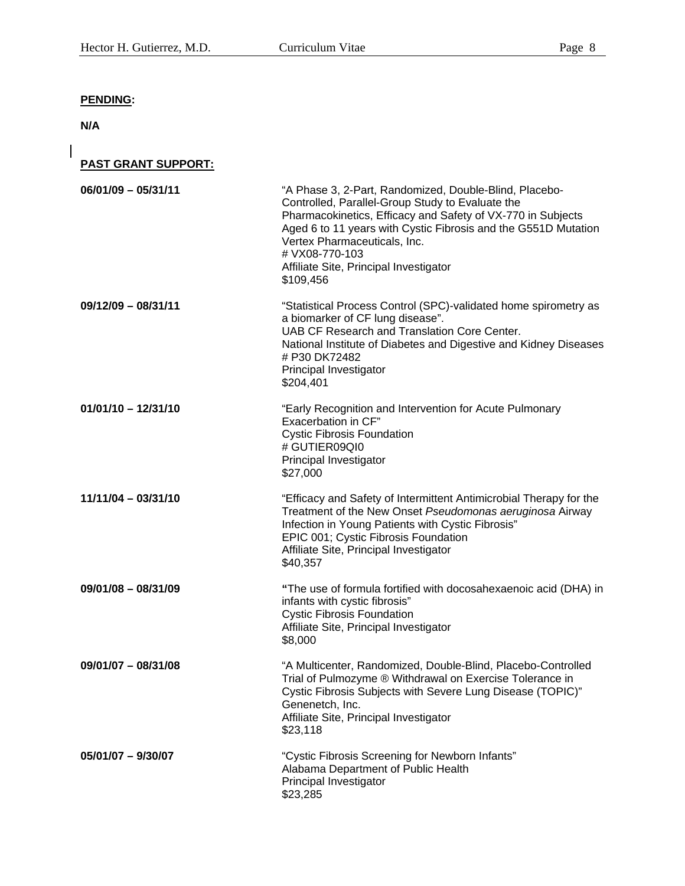## **PENDING:**

**N/A**

 $\overline{\phantom{a}}$ 

**PAST GRANT SUPPORT:**

| $06/01/09 - 05/31/11$ | "A Phase 3, 2-Part, Randomized, Double-Blind, Placebo-<br>Controlled, Parallel-Group Study to Evaluate the<br>Pharmacokinetics, Efficacy and Safety of VX-770 in Subjects<br>Aged 6 to 11 years with Cystic Fibrosis and the G551D Mutation<br>Vertex Pharmaceuticals, Inc.<br># VX08-770-103<br>Affiliate Site, Principal Investigator<br>\$109,456 |
|-----------------------|------------------------------------------------------------------------------------------------------------------------------------------------------------------------------------------------------------------------------------------------------------------------------------------------------------------------------------------------------|
| $09/12/09 - 08/31/11$ | "Statistical Process Control (SPC)-validated home spirometry as<br>a biomarker of CF lung disease".<br>UAB CF Research and Translation Core Center.<br>National Institute of Diabetes and Digestive and Kidney Diseases<br># P30 DK72482<br>Principal Investigator<br>\$204,401                                                                      |
| $01/01/10 - 12/31/10$ | "Early Recognition and Intervention for Acute Pulmonary<br>Exacerbation in CF"<br><b>Cystic Fibrosis Foundation</b><br># GUTIER09QI0<br>Principal Investigator<br>\$27,000                                                                                                                                                                           |
| $11/11/04 - 03/31/10$ | "Efficacy and Safety of Intermittent Antimicrobial Therapy for the<br>Treatment of the New Onset Pseudomonas aeruginosa Airway<br>Infection in Young Patients with Cystic Fibrosis"<br>EPIC 001; Cystic Fibrosis Foundation<br>Affiliate Site, Principal Investigator<br>\$40,357                                                                    |
| $09/01/08 - 08/31/09$ | "The use of formula fortified with docosahexaenoic acid (DHA) in<br>infants with cystic fibrosis"<br><b>Cystic Fibrosis Foundation</b><br>Affiliate Site, Principal Investigator<br>\$8,000                                                                                                                                                          |
| $09/01/07 - 08/31/08$ | "A Multicenter, Randomized, Double-Blind, Placebo-Controlled<br>Trial of Pulmozyme ® Withdrawal on Exercise Tolerance in<br>Cystic Fibrosis Subjects with Severe Lung Disease (TOPIC)"<br>Genenetch, Inc.<br>Affiliate Site, Principal Investigator<br>\$23,118                                                                                      |
| 05/01/07 - 9/30/07    | "Cystic Fibrosis Screening for Newborn Infants"<br>Alabama Department of Public Health<br>Principal Investigator<br>\$23,285                                                                                                                                                                                                                         |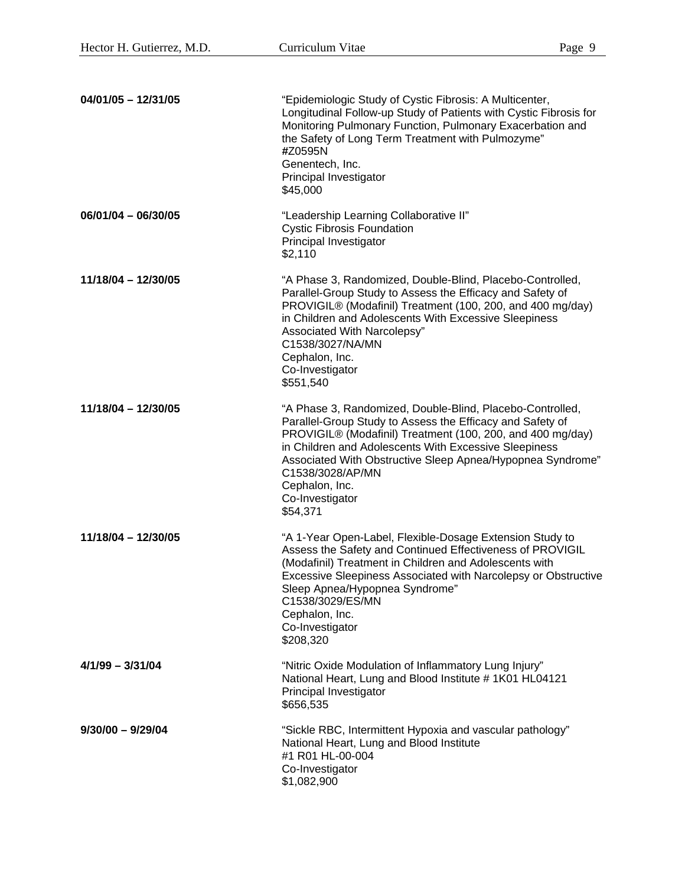| $04/01/05 - 12/31/05$ | "Epidemiologic Study of Cystic Fibrosis: A Multicenter,<br>Longitudinal Follow-up Study of Patients with Cystic Fibrosis for<br>Monitoring Pulmonary Function, Pulmonary Exacerbation and<br>the Safety of Long Term Treatment with Pulmozyme"<br>#Z0595N<br>Genentech, Inc.<br>Principal Investigator<br>\$45,000                                                               |
|-----------------------|----------------------------------------------------------------------------------------------------------------------------------------------------------------------------------------------------------------------------------------------------------------------------------------------------------------------------------------------------------------------------------|
| $06/01/04 - 06/30/05$ | "Leadership Learning Collaborative II"<br><b>Cystic Fibrosis Foundation</b><br>Principal Investigator<br>\$2,110                                                                                                                                                                                                                                                                 |
| $11/18/04 - 12/30/05$ | "A Phase 3, Randomized, Double-Blind, Placebo-Controlled,<br>Parallel-Group Study to Assess the Efficacy and Safety of<br>PROVIGIL® (Modafinil) Treatment (100, 200, and 400 mg/day)<br>in Children and Adolescents With Excessive Sleepiness<br>Associated With Narcolepsy"<br>C1538/3027/NA/MN<br>Cephalon, Inc.<br>Co-Investigator<br>\$551,540                               |
| $11/18/04 - 12/30/05$ | "A Phase 3, Randomized, Double-Blind, Placebo-Controlled,<br>Parallel-Group Study to Assess the Efficacy and Safety of<br>PROVIGIL® (Modafinil) Treatment (100, 200, and 400 mg/day)<br>in Children and Adolescents With Excessive Sleepiness<br>Associated With Obstructive Sleep Apnea/Hypopnea Syndrome"<br>C1538/3028/AP/MN<br>Cephalon, Inc.<br>Co-Investigator<br>\$54,371 |
| $11/18/04 - 12/30/05$ | "A 1-Year Open-Label, Flexible-Dosage Extension Study to<br>Assess the Safety and Continued Effectiveness of PROVIGIL<br>(Modafinil) Treatment in Children and Adolescents with<br>Excessive Sleepiness Associated with Narcolepsy or Obstructive<br>Sleep Apnea/Hypopnea Syndrome"<br>C1538/3029/ES/MN<br>Cephalon, Inc.<br>Co-Investigator<br>\$208,320                        |
| $4/1/99 - 3/31/04$    | "Nitric Oxide Modulation of Inflammatory Lung Injury"<br>National Heart, Lung and Blood Institute #1K01 HL04121<br>Principal Investigator<br>\$656,535                                                                                                                                                                                                                           |
| $9/30/00 - 9/29/04$   | "Sickle RBC, Intermittent Hypoxia and vascular pathology"<br>National Heart, Lung and Blood Institute<br>#1 R01 HL-00-004<br>Co-Investigator<br>\$1,082,900                                                                                                                                                                                                                      |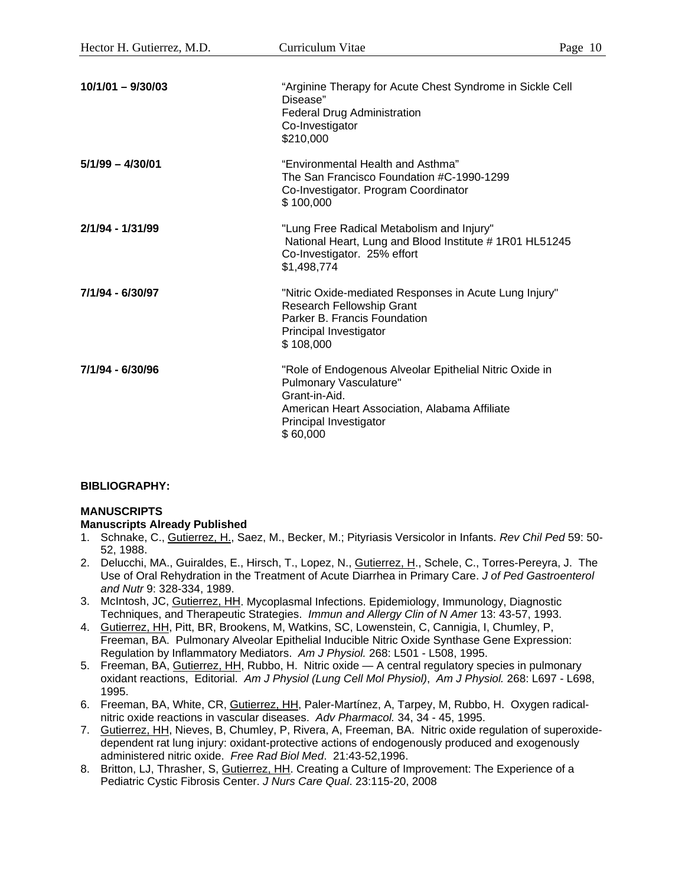|                    | Co-Investigator<br>\$210,000                                                                                                                                                              |
|--------------------|-------------------------------------------------------------------------------------------------------------------------------------------------------------------------------------------|
| $5/1/99 - 4/30/01$ | "Environmental Health and Asthma"<br>The San Francisco Foundation #C-1990-1299<br>Co-Investigator. Program Coordinator<br>\$100,000                                                       |
| 2/1/94 - 1/31/99   | "Lung Free Radical Metabolism and Injury"<br>National Heart, Lung and Blood Institute #1R01 HL51245<br>Co-Investigator. 25% effort<br>\$1,498,774                                         |
| 7/1/94 - 6/30/97   | "Nitric Oxide-mediated Responses in Acute Lung Injury"<br><b>Research Fellowship Grant</b><br>Parker B. Francis Foundation<br>Principal Investigator<br>\$108,000                         |
| 7/1/94 - 6/30/96   | "Role of Endogenous Alveolar Epithelial Nitric Oxide in<br>Pulmonary Vasculature"<br>Grant-in-Aid.<br>American Heart Association, Alabama Affiliate<br>Principal Investigator<br>\$60,000 |

### **BIBLIOGRAPHY:**

### **MANUSCRIPTS**

### **Manuscripts Already Published**

- 1. Schnake, C., Gutierrez, H., Saez, M., Becker, M.; Pityriasis Versicolor in Infants. *Rev Chil Ped* 59: 50- 52, 1988.
- 2. Delucchi, MA., Guiraldes, E., Hirsch, T., Lopez, N., Gutierrez, H., Schele, C., Torres-Pereyra, J. The Use of Oral Rehydration in the Treatment of Acute Diarrhea in Primary Care. *J of Ped Gastroenterol and Nutr* 9: 328-334, 1989.
- 3. McIntosh, JC, Gutierrez, HH. Mycoplasmal Infections. Epidemiology, Immunology, Diagnostic Techniques, and Therapeutic Strategies. *Immun and Allergy Clin of N Amer* 13: 43-57, 1993.
- 4. Gutierrez, HH, Pitt, BR, Brookens, M, Watkins, SC, Lowenstein, C, Cannigia, I, Chumley, P, Freeman, BA. Pulmonary Alveolar Epithelial Inducible Nitric Oxide Synthase Gene Expression: Regulation by Inflammatory Mediators. *Am J Physiol.* 268: L501 - L508, 1995.
- 5. Freeman, BA, Gutierrez, HH, Rubbo, H. Nitric oxide A central regulatory species in pulmonary oxidant reactions, Editorial. *Am J Physiol (Lung Cell Mol Physiol)*, *Am J Physiol.* 268: L697 - L698, 1995.
- 6. Freeman, BA, White, CR, Gutierrez, HH, Paler-Martínez, A, Tarpey, M, Rubbo, H. Oxygen radicalnitric oxide reactions in vascular diseases. *Adv Pharmacol.* 34, 34 - 45, 1995.
- 7. Gutierrez, HH, Nieves, B, Chumley, P, Rivera, A, Freeman, BA. Nitric oxide regulation of superoxidedependent rat lung injury: oxidant-protective actions of endogenously produced and exogenously administered nitric oxide. *Free Rad Biol Med*. 21:43-52,1996.
- 8. Britton, LJ, Thrasher, S, Gutierrez, HH. Creating a Culture of Improvement: The Experience of a Pediatric Cystic Fibrosis Center. *J Nurs Care Qual*. 23:115-20, 2008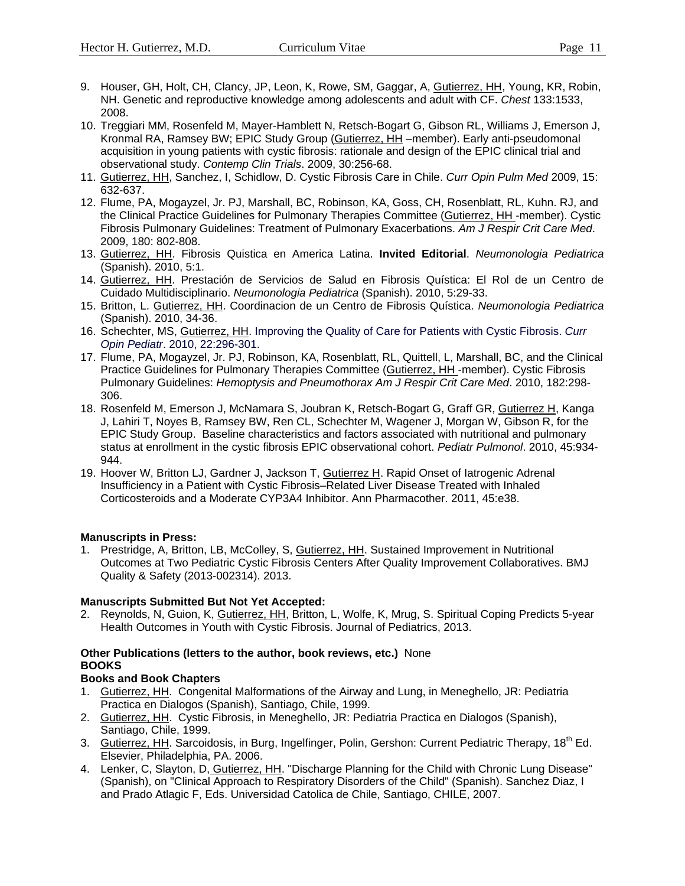- 9. Houser, GH, Holt, CH, Clancy, JP, Leon, K, Rowe, SM, Gaggar, A, Gutierrez, HH, Young, KR, Robin, NH. Genetic and reproductive knowledge among adolescents and adult with CF. *Chest* 133:1533, 2008.
- 10. Treggiari MM, Rosenfeld M, Mayer-Hamblett N, Retsch-Bogart G, Gibson RL, Williams J, Emerson J, Kronmal RA, Ramsey BW; EPIC Study Group (Gutierrez, HH –member). Early anti-pseudomonal acquisition in young patients with cystic fibrosis: rationale and design of the EPIC clinical trial and observational study. *Contemp Clin Trials*. 2009, 30:256-68.
- 11. Gutierrez, HH, Sanchez, I, Schidlow, D. Cystic Fibrosis Care in Chile. *Curr Opin Pulm Med* 2009, 15: 632-637.
- 12. Flume, PA, Mogayzel, Jr. PJ, Marshall, BC, Robinson, KA, Goss, CH, Rosenblatt, RL, Kuhn. RJ, and the Clinical Practice Guidelines for Pulmonary Therapies Committee (Gutierrez, HH -member). Cystic Fibrosis Pulmonary Guidelines: Treatment of Pulmonary Exacerbations. *Am J Respir Crit Care Med*. 2009, 180: 802-808.
- 13. Gutierrez, HH. Fibrosis Quistica en America Latina. **Invited Editorial**. *Neumonologia Pediatrica* (Spanish). 2010, 5:1.
- 14. Gutierrez, HH. Prestación de Servicios de Salud en Fibrosis Quística: El Rol de un Centro de Cuidado Multidisciplinario. *Neumonologia Pediatrica* (Spanish). 2010, 5:29-33.
- 15. Britton, L. Gutierrez, HH. Coordinacion de un Centro de Fibrosis Quística. *Neumonologia Pediatrica* (Spanish). 2010, 34-36.
- 16. Schechter, MS, Gutierrez, HH. Improving the Quality of Care for Patients with Cystic Fibrosis. *Curr Opin Pediatr*. 2010, 22:296-301.
- 17. Flume, PA, Mogayzel, Jr. PJ, Robinson, KA, Rosenblatt, RL, Quittell, L, Marshall, BC, and the Clinical Practice Guidelines for Pulmonary Therapies Committee (Gutierrez, HH -member). Cystic Fibrosis Pulmonary Guidelines: *Hemoptysis and Pneumothorax Am J Respir Crit Care Med*. 2010, 182:298- 306.
- 18. Rosenfeld M, Emerson J, McNamara S, Joubran K, Retsch-Bogart G, Graff GR, Gutierrez H, Kanga J, Lahiri T, Noyes B, Ramsey BW, Ren CL, Schechter M, Wagener J, Morgan W, Gibson R, for the EPIC Study Group. Baseline characteristics and factors associated with nutritional and pulmonary status at enrollment in the cystic fibrosis EPIC observational cohort. *Pediatr Pulmonol*. 2010, 45:934- 944.
- 19. Hoover W, Britton LJ, Gardner J, Jackson T, Gutierrez H. Rapid Onset of latrogenic Adrenal Insufficiency in a Patient with Cystic Fibrosis–Related Liver Disease Treated with Inhaled Corticosteroids and a Moderate CYP3A4 Inhibitor. Ann Pharmacother. 2011, 45:e38.

### **Manuscripts in Press:**

1. Prestridge, A, Britton, LB, McColley, S, Gutierrez, HH. Sustained Improvement in Nutritional Outcomes at Two Pediatric Cystic Fibrosis Centers After Quality Improvement Collaboratives. BMJ Quality & Safety (2013-002314). 2013.

### **Manuscripts Submitted But Not Yet Accepted:**

2. Reynolds, N, Guion, K, Gutierrez, HH, Britton, L, Wolfe, K, Mrug, S. Spiritual Coping Predicts 5-year Health Outcomes in Youth with Cystic Fibrosis. Journal of Pediatrics, 2013.

### **Other Publications (letters to the author, book reviews, etc.)** None **BOOKS**

### **Books and Book Chapters**

- 1. Gutierrez, HH. Congenital Malformations of the Airway and Lung, in Meneghello, JR: Pediatria Practica en Dialogos (Spanish), Santiago, Chile, 1999.
- 2. Gutierrez, HH. Cystic Fibrosis, in Meneghello, JR: Pediatria Practica en Dialogos (Spanish), Santiago, Chile, 1999.
- 3. Gutierrez, HH. Sarcoidosis, in Burg, Ingelfinger, Polin, Gershon: Current Pediatric Therapy, 18<sup>th</sup> Ed. Elsevier, Philadelphia, PA. 2006.
- 4. Lenker, C, Slayton, D, Gutierrez, HH. "Discharge Planning for the Child with Chronic Lung Disease" (Spanish), on "Clinical Approach to Respiratory Disorders of the Child" (Spanish). Sanchez Diaz, I and Prado Atlagic F, Eds. Universidad Catolica de Chile, Santiago, CHILE, 2007.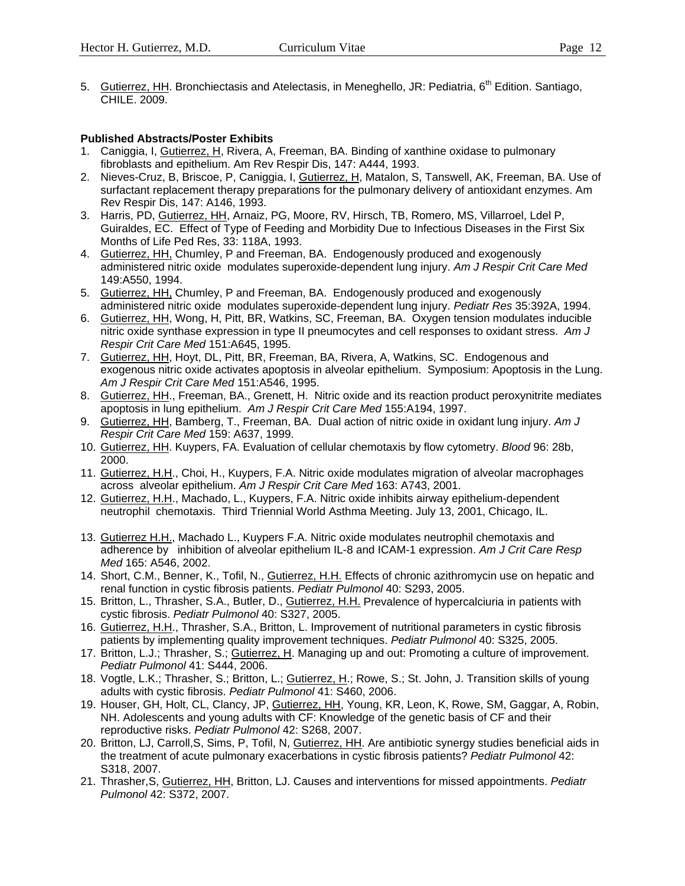5. Gutierrez, HH. Bronchiectasis and Atelectasis, in Meneghello, JR: Pediatria, 6<sup>th</sup> Edition. Santiago. CHILE. 2009.

### **Published Abstracts/Poster Exhibits**

- 1. Caniggia, I, Gutierrez, H, Rivera, A, Freeman, BA. Binding of xanthine oxidase to pulmonary fibroblasts and epithelium. Am Rev Respir Dis, 147: A444, 1993.
- 2. Nieves-Cruz, B, Briscoe, P, Caniggia, I, Gutierrez, H, Matalon, S, Tanswell, AK, Freeman, BA. Use of surfactant replacement therapy preparations for the pulmonary delivery of antioxidant enzymes. Am Rev Respir Dis, 147: A146, 1993.
- 3. Harris, PD, Gutierrez, HH, Arnaiz, PG, Moore, RV, Hirsch, TB, Romero, MS, Villarroel, Ldel P, Guiraldes, EC. Effect of Type of Feeding and Morbidity Due to Infectious Diseases in the First Six Months of Life Ped Res, 33: 118A, 1993.
- 4. Gutierrez, HH, Chumley, P and Freeman, BA. Endogenously produced and exogenously administered nitric oxide modulates superoxide-dependent lung injury. *Am J Respir Crit Care Med* 149:A550, 1994.
- 5. Gutierrez, HH, Chumley, P and Freeman, BA. Endogenously produced and exogenously administered nitric oxide modulates superoxide-dependent lung injury. *Pediatr Res* 35:392A, 1994.
- 6. Gutierrez, HH, Wong, H, Pitt, BR, Watkins, SC, Freeman, BA. Oxygen tension modulates inducible nitric oxide synthase expression in type II pneumocytes and cell responses to oxidant stress. *Am J Respir Crit Care Med* 151:A645, 1995.
- 7. Gutierrez, HH, Hoyt, DL, Pitt, BR, Freeman, BA, Rivera, A, Watkins, SC. Endogenous and exogenous nitric oxide activates apoptosis in alveolar epithelium. Symposium: Apoptosis in the Lung. *Am J Respir Crit Care Med* 151:A546, 1995.
- 8. Gutierrez, HH., Freeman, BA., Grenett, H. Nitric oxide and its reaction product peroxynitrite mediates apoptosis in lung epithelium. *Am J Respir Crit Care Med* 155:A194, 1997.
- 9. Gutierrez, HH, Bamberg, T., Freeman, BA. Dual action of nitric oxide in oxidant lung injury. *Am J Respir Crit Care Med* 159: A637, 1999.
- 10. Gutierrez, HH. Kuypers, FA. Evaluation of cellular chemotaxis by flow cytometry. *Blood* 96: 28b, 2000.
- 11. Gutierrez, H.H., Choi, H., Kuypers, F.A. Nitric oxide modulates migration of alveolar macrophages across alveolar epithelium. *Am J Respir Crit Care Med* 163: A743, 2001.
- 12. Gutierrez, H.H., Machado, L., Kuypers, F.A. Nitric oxide inhibits airway epithelium-dependent neutrophil chemotaxis. Third Triennial World Asthma Meeting. July 13, 2001, Chicago, IL.
- 13. Gutierrez H.H., Machado L., Kuypers F.A. Nitric oxide modulates neutrophil chemotaxis and adherence by inhibition of alveolar epithelium IL-8 and ICAM-1 expression. *Am J Crit Care Resp Med* 165: A546, 2002.
- 14. Short, C.M., Benner, K., Tofil, N., Gutierrez, H.H. Effects of chronic azithromycin use on hepatic and renal function in cystic fibrosis patients. *Pediatr Pulmonol* 40: S293, 2005.
- 15. Britton, L., Thrasher, S.A., Butler, D., Gutierrez, H.H. Prevalence of hypercalciuria in patients with cystic fibrosis. *Pediatr Pulmonol* 40: S327, 2005.
- 16. Gutierrez, H.H., Thrasher, S.A., Britton, L. Improvement of nutritional parameters in cystic fibrosis patients by implementing quality improvement techniques. *Pediatr Pulmonol* 40: S325, 2005.
- 17. Britton, L.J.; Thrasher, S.; Gutierrez, H. Managing up and out: Promoting a culture of improvement. *Pediatr Pulmonol* 41: S444, 2006.
- 18. Vogtle, L.K.; Thrasher, S.; Britton, L.; Gutierrez, H.; Rowe, S.; St. John, J. Transition skills of young adults with cystic fibrosis. *Pediatr Pulmonol* 41: S460, 2006.
- 19. Houser, GH, Holt, CL, Clancy, JP, Gutierrez, HH, Young, KR, Leon, K, Rowe, SM, Gaggar, A, Robin, NH. Adolescents and young adults with CF: Knowledge of the genetic basis of CF and their reproductive risks. *Pediatr Pulmonol* 42: S268, 2007.
- 20. Britton, LJ, Carroll,S, Sims, P, Tofil, N, Gutierrez, HH. Are antibiotic synergy studies beneficial aids in the treatment of acute pulmonary exacerbations in cystic fibrosis patients? *Pediatr Pulmonol* 42: S318, 2007.
- 21. Thrasher,S, Gutierrez, HH, Britton, LJ. Causes and interventions for missed appointments. *Pediatr Pulmonol* 42: S372, 2007.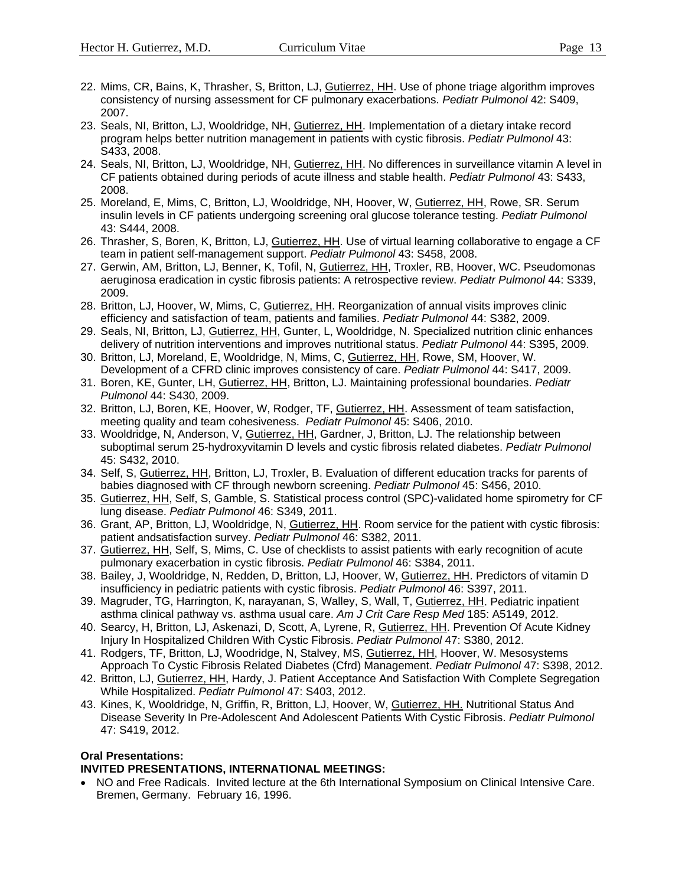- 22. Mims, CR, Bains, K, Thrasher, S, Britton, LJ, Gutierrez, HH. Use of phone triage algorithm improves consistency of nursing assessment for CF pulmonary exacerbations. *Pediatr Pulmonol* 42: S409, 2007.
- 23. Seals, NI, Britton, LJ, Wooldridge, NH, Gutierrez, HH. Implementation of a dietary intake record program helps better nutrition management in patients with cystic fibrosis. *Pediatr Pulmonol* 43: S433, 2008.
- 24. Seals, NI, Britton, LJ, Wooldridge, NH, Gutierrez, HH. No differences in surveillance vitamin A level in CF patients obtained during periods of acute illness and stable health. *Pediatr Pulmonol* 43: S433, 2008.
- 25. Moreland, E, Mims, C, Britton, LJ, Wooldridge, NH, Hoover, W, Gutierrez, HH, Rowe, SR. Serum insulin levels in CF patients undergoing screening oral glucose tolerance testing. *Pediatr Pulmonol* 43: S444, 2008.
- 26. Thrasher, S, Boren, K, Britton, LJ, Gutierrez, HH. Use of virtual learning collaborative to engage a CF team in patient self-management support. *Pediatr Pulmonol* 43: S458, 2008.
- 27. Gerwin, AM, Britton, LJ, Benner, K, Tofil, N, Gutierrez, HH, Troxler, RB, Hoover, WC. Pseudomonas aeruginosa eradication in cystic fibrosis patients: A retrospective review. *Pediatr Pulmonol* 44: S339, 2009.
- 28. Britton, LJ, Hoover, W, Mims, C, Gutierrez, HH. Reorganization of annual visits improves clinic efficiency and satisfaction of team, patients and families. *Pediatr Pulmonol* 44: S382, 2009.
- 29. Seals, NI, Britton, LJ, Gutierrez, HH, Gunter, L, Wooldridge, N. Specialized nutrition clinic enhances delivery of nutrition interventions and improves nutritional status. *Pediatr Pulmonol* 44: S395, 2009.
- 30. Britton, LJ, Moreland, E, Wooldridge, N, Mims, C, Gutierrez, HH, Rowe, SM, Hoover, W. Development of a CFRD clinic improves consistency of care. *Pediatr Pulmonol* 44: S417, 2009.
- 31. Boren, KE, Gunter, LH, Gutierrez, HH, Britton, LJ. Maintaining professional boundaries. *Pediatr Pulmonol* 44: S430, 2009.
- 32. Britton, LJ, Boren, KE, Hoover, W, Rodger, TF, Gutierrez, HH. Assessment of team satisfaction, meeting quality and team cohesiveness. *Pediatr Pulmonol* 45: S406, 2010.
- 33. Wooldridge, N, Anderson, V, Gutierrez, HH, Gardner, J, Britton, LJ. The relationship between suboptimal serum 25-hydroxyvitamin D levels and cystic fibrosis related diabetes. *Pediatr Pulmonol* 45: S432, 2010.
- 34. Self, S, Gutierrez, HH, Britton, LJ, Troxler, B. Evaluation of different education tracks for parents of babies diagnosed with CF through newborn screening. *Pediatr Pulmonol* 45: S456, 2010.
- 35. Gutierrez, HH, Self, S, Gamble, S. Statistical process control (SPC)-validated home spirometry for CF lung disease. *Pediatr Pulmonol* 46: S349, 2011.
- 36. Grant, AP, Britton, LJ, Wooldridge, N, Gutierrez, HH. Room service for the patient with cystic fibrosis: patient andsatisfaction survey. *Pediatr Pulmonol* 46: S382, 2011.
- 37. Gutierrez, HH, Self, S, Mims, C. Use of checklists to assist patients with early recognition of acute pulmonary exacerbation in cystic fibrosis. *Pediatr Pulmonol* 46: S384, 2011.
- 38. Bailey, J, Wooldridge, N, Redden, D, Britton, LJ, Hoover, W, Gutierrez, HH. Predictors of vitamin D insufficiency in pediatric patients with cystic fibrosis. *Pediatr Pulmonol* 46: S397, 2011.
- 39. Magruder, TG, Harrington, K, narayanan, S, Walley, S, Wall, T, Gutierrez, HH. Pediatric inpatient asthma clinical pathway vs. asthma usual care. *Am J Crit Care Resp Med* 185: A5149, 2012.
- 40. Searcy, H, Britton, LJ, Askenazi, D, Scott, A, Lyrene, R, Gutierrez, HH. Prevention Of Acute Kidney Injury In Hospitalized Children With Cystic Fibrosis. *Pediatr Pulmonol* 47: S380, 2012.
- 41. Rodgers, TF, Britton, LJ, Woodridge, N, Stalvey, MS, Gutierrez, HH, Hoover, W. Mesosystems Approach To Cystic Fibrosis Related Diabetes (Cfrd) Management. *Pediatr Pulmonol* 47: S398, 2012.
- 42. Britton, LJ, Gutierrez, HH, Hardy, J. Patient Acceptance And Satisfaction With Complete Segregation While Hospitalized. *Pediatr Pulmonol* 47: S403, 2012.
- 43. Kines, K, Wooldridge, N, Griffin, R, Britton, LJ, Hoover, W, Gutierrez, HH. Nutritional Status And Disease Severity In Pre-Adolescent And Adolescent Patients With Cystic Fibrosis. *Pediatr Pulmonol* 47: S419, 2012.

### **Oral Presentations:**

### **INVITED PRESENTATIONS, INTERNATIONAL MEETINGS:**

• NO and Free Radicals. Invited lecture at the 6th International Symposium on Clinical Intensive Care. Bremen, Germany. February 16, 1996.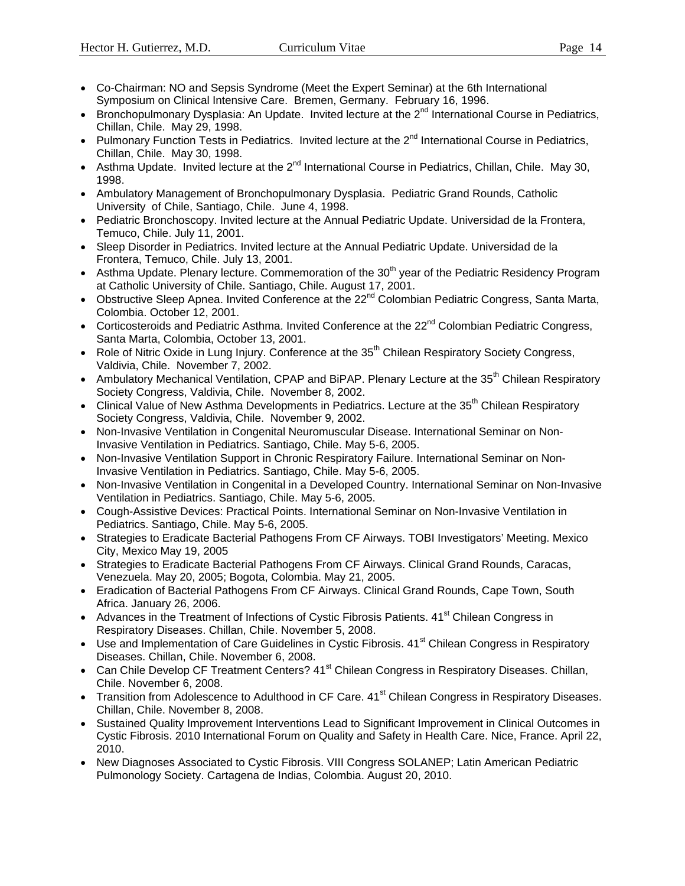- Co-Chairman: NO and Sepsis Syndrome (Meet the Expert Seminar) at the 6th International Symposium on Clinical Intensive Care. Bremen, Germany. February 16, 1996.
- **Bronchopulmonary Dysplasia: An Update. Invited lecture at the**  $2^{nd}$  **International Course in Pediatrics,** Chillan, Chile. May 29, 1998.
- Pulmonary Function Tests in Pediatrics. Invited lecture at the  $2^{nd}$  International Course in Pediatrics, Chillan, Chile. May 30, 1998.
- Asthma Update. Invited lecture at the  $2^{nd}$  International Course in Pediatrics, Chillan, Chile. May 30, 1998.
- Ambulatory Management of Bronchopulmonary Dysplasia. Pediatric Grand Rounds, Catholic University of Chile, Santiago, Chile. June 4, 1998.
- Pediatric Bronchoscopy. Invited lecture at the Annual Pediatric Update. Universidad de la Frontera, Temuco, Chile. July 11, 2001.
- Sleep Disorder in Pediatrics. Invited lecture at the Annual Pediatric Update. Universidad de la Frontera, Temuco, Chile. July 13, 2001.
- Asthma Update. Plenary lecture. Commemoration of the  $30<sup>th</sup>$  year of the Pediatric Residency Program at Catholic University of Chile. Santiago, Chile. August 17, 2001.
- Obstructive Sleep Apnea. Invited Conference at the  $22<sup>nd</sup>$  Colombian Pediatric Congress, Santa Marta, Colombia. October 12, 2001.
- Corticosteroids and Pediatric Asthma. Invited Conference at the 22<sup>nd</sup> Colombian Pediatric Congress, Santa Marta, Colombia, October 13, 2001.
- Role of Nitric Oxide in Lung Injury. Conference at the  $35<sup>th</sup>$  Chilean Respiratory Society Congress, Valdivia, Chile. November 7, 2002.
- Ambulatory Mechanical Ventilation, CPAP and BiPAP. Plenary Lecture at the 35<sup>th</sup> Chilean Respiratory Society Congress, Valdivia, Chile. November 8, 2002.
- Clinical Value of New Asthma Developments in Pediatrics. Lecture at the 35<sup>th</sup> Chilean Respiratory Society Congress, Valdivia, Chile. November 9, 2002.
- Non-Invasive Ventilation in Congenital Neuromuscular Disease. International Seminar on Non-Invasive Ventilation in Pediatrics. Santiago, Chile. May 5-6, 2005.
- Non-Invasive Ventilation Support in Chronic Respiratory Failure. International Seminar on Non-Invasive Ventilation in Pediatrics. Santiago, Chile. May 5-6, 2005.
- Non-Invasive Ventilation in Congenital in a Developed Country. International Seminar on Non-Invasive Ventilation in Pediatrics. Santiago, Chile. May 5-6, 2005.
- Cough-Assistive Devices: Practical Points. International Seminar on Non-Invasive Ventilation in Pediatrics. Santiago, Chile. May 5-6, 2005.
- Strategies to Eradicate Bacterial Pathogens From CF Airways. TOBI Investigators' Meeting. Mexico City, Mexico May 19, 2005
- Strategies to Eradicate Bacterial Pathogens From CF Airways. Clinical Grand Rounds, Caracas, Venezuela. May 20, 2005; Bogota, Colombia. May 21, 2005.
- Eradication of Bacterial Pathogens From CF Airways. Clinical Grand Rounds, Cape Town, South Africa. January 26, 2006.
- Advances in the Treatment of Infections of Cystic Fibrosis Patients.  $41<sup>st</sup>$  Chilean Congress in Respiratory Diseases. Chillan, Chile. November 5, 2008.
- Use and Implementation of Care Guidelines in Cystic Fibrosis. 41<sup>st</sup> Chilean Congress in Respiratory Diseases. Chillan, Chile. November 6, 2008.
- Can Chile Develop CF Treatment Centers? 41<sup>st</sup> Chilean Congress in Respiratory Diseases. Chillan, Chile. November 6, 2008.
- Transition from Adolescence to Adulthood in CF Care. 41<sup>st</sup> Chilean Congress in Respiratory Diseases. Chillan, Chile. November 8, 2008.
- Sustained Quality Improvement Interventions Lead to Significant Improvement in Clinical Outcomes in Cystic Fibrosis. 2010 International Forum on Quality and Safety in Health Care. Nice, France. April 22, 2010.
- New Diagnoses Associated to Cystic Fibrosis. VIII Congress SOLANEP; Latin American Pediatric Pulmonology Society. Cartagena de Indias, Colombia. August 20, 2010.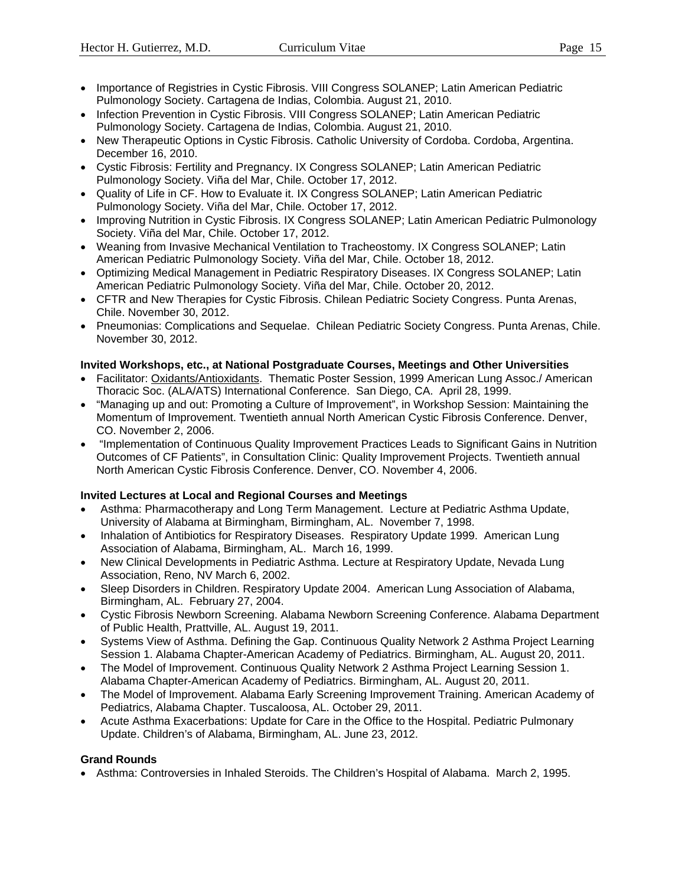- 
- Importance of Registries in Cystic Fibrosis. VIII Congress SOLANEP; Latin American Pediatric Pulmonology Society. Cartagena de Indias, Colombia. August 21, 2010.
- Infection Prevention in Cystic Fibrosis. VIII Congress SOLANEP; Latin American Pediatric Pulmonology Society. Cartagena de Indias, Colombia. August 21, 2010.
- New Therapeutic Options in Cystic Fibrosis. Catholic University of Cordoba. Cordoba, Argentina. December 16, 2010.
- Cystic Fibrosis: Fertility and Pregnancy. IX Congress SOLANEP; Latin American Pediatric Pulmonology Society. Viña del Mar, Chile. October 17, 2012.
- Quality of Life in CF. How to Evaluate it. IX Congress SOLANEP; Latin American Pediatric Pulmonology Society. Viña del Mar, Chile. October 17, 2012.
- Improving Nutrition in Cystic Fibrosis. IX Congress SOLANEP; Latin American Pediatric Pulmonology Society. Viña del Mar, Chile. October 17, 2012.
- Weaning from Invasive Mechanical Ventilation to Tracheostomy. IX Congress SOLANEP; Latin American Pediatric Pulmonology Society. Viña del Mar, Chile. October 18, 2012.
- Optimizing Medical Management in Pediatric Respiratory Diseases. IX Congress SOLANEP; Latin American Pediatric Pulmonology Society. Viña del Mar, Chile. October 20, 2012.
- CFTR and New Therapies for Cystic Fibrosis. Chilean Pediatric Society Congress. Punta Arenas, Chile. November 30, 2012.
- Pneumonias: Complications and Sequelae. Chilean Pediatric Society Congress. Punta Arenas, Chile. November 30, 2012.

### **Invited Workshops, etc., at National Postgraduate Courses, Meetings and Other Universities**

- Facilitator: Oxidants/Antioxidants. Thematic Poster Session, 1999 American Lung Assoc./ American Thoracic Soc. (ALA/ATS) International Conference. San Diego, CA. April 28, 1999.
- "Managing up and out: Promoting a Culture of Improvement", in Workshop Session: Maintaining the Momentum of Improvement. Twentieth annual North American Cystic Fibrosis Conference. Denver, CO. November 2, 2006.
- "Implementation of Continuous Quality Improvement Practices Leads to Significant Gains in Nutrition Outcomes of CF Patients", in Consultation Clinic: Quality Improvement Projects. Twentieth annual North American Cystic Fibrosis Conference. Denver, CO. November 4, 2006.

### **Invited Lectures at Local and Regional Courses and Meetings**

- Asthma: Pharmacotherapy and Long Term Management. Lecture at Pediatric Asthma Update, University of Alabama at Birmingham, Birmingham, AL. November 7, 1998.
- Inhalation of Antibiotics for Respiratory Diseases. Respiratory Update 1999. American Lung Association of Alabama, Birmingham, AL. March 16, 1999.
- New Clinical Developments in Pediatric Asthma. Lecture at Respiratory Update, Nevada Lung Association, Reno, NV March 6, 2002.
- Sleep Disorders in Children. Respiratory Update 2004. American Lung Association of Alabama, Birmingham, AL. February 27, 2004.
- Cystic Fibrosis Newborn Screening. Alabama Newborn Screening Conference. Alabama Department of Public Health, Prattville, AL. August 19, 2011.
- Systems View of Asthma. Defining the Gap. Continuous Quality Network 2 Asthma Project Learning Session 1. Alabama Chapter-American Academy of Pediatrics. Birmingham, AL. August 20, 2011.
- The Model of Improvement. Continuous Quality Network 2 Asthma Project Learning Session 1. Alabama Chapter-American Academy of Pediatrics. Birmingham, AL. August 20, 2011.
- The Model of Improvement. Alabama Early Screening Improvement Training. American Academy of Pediatrics, Alabama Chapter. Tuscaloosa, AL. October 29, 2011.
- Acute Asthma Exacerbations: Update for Care in the Office to the Hospital. Pediatric Pulmonary Update. Children's of Alabama, Birmingham, AL. June 23, 2012.

### **Grand Rounds**

• Asthma: Controversies in Inhaled Steroids. The Children's Hospital of Alabama. March 2, 1995.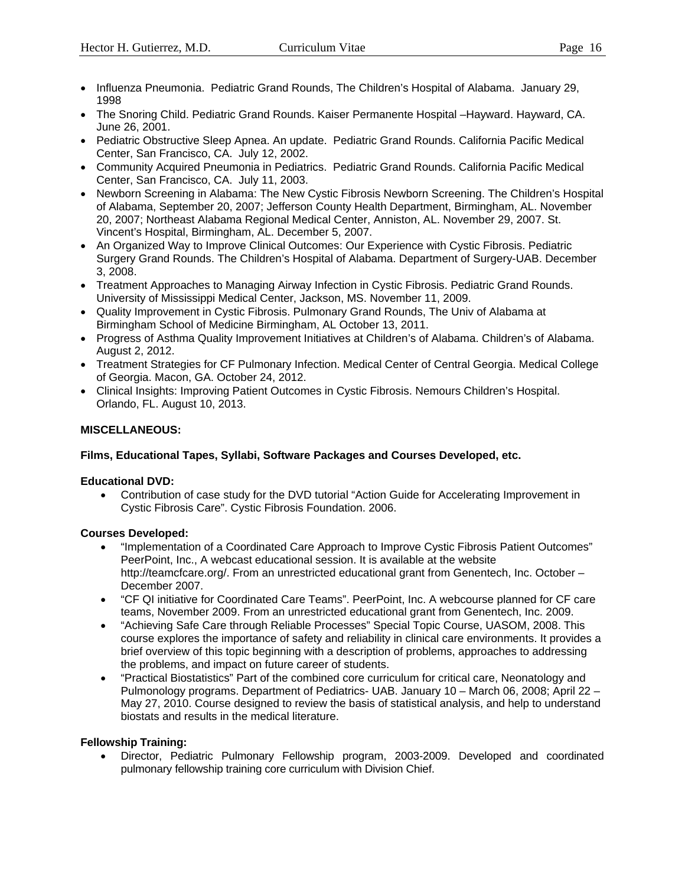- Influenza Pneumonia. Pediatric Grand Rounds, The Children's Hospital of Alabama. January 29, 1998
- The Snoring Child. Pediatric Grand Rounds. Kaiser Permanente Hospital –Hayward. Hayward, CA. June 26, 2001.
- Pediatric Obstructive Sleep Apnea. An update. Pediatric Grand Rounds. California Pacific Medical Center, San Francisco, CA. July 12, 2002.
- Community Acquired Pneumonia in Pediatrics. Pediatric Grand Rounds. California Pacific Medical Center, San Francisco, CA. July 11, 2003.
- Newborn Screening in Alabama: The New Cystic Fibrosis Newborn Screening. The Children's Hospital of Alabama, September 20, 2007; Jefferson County Health Department, Birmingham, AL. November 20, 2007; Northeast Alabama Regional Medical Center, Anniston, AL. November 29, 2007. St. Vincent's Hospital, Birmingham, AL. December 5, 2007.
- An Organized Way to Improve Clinical Outcomes: Our Experience with Cystic Fibrosis. Pediatric Surgery Grand Rounds. The Children's Hospital of Alabama. Department of Surgery-UAB. December 3, 2008.
- Treatment Approaches to Managing Airway Infection in Cystic Fibrosis. Pediatric Grand Rounds. University of Mississippi Medical Center, Jackson, MS. November 11, 2009.
- Quality Improvement in Cystic Fibrosis. Pulmonary Grand Rounds, The Univ of Alabama at Birmingham School of Medicine Birmingham, AL October 13, 2011.
- Progress of Asthma Quality Improvement Initiatives at Children's of Alabama. Children's of Alabama. August 2, 2012.
- Treatment Strategies for CF Pulmonary Infection. Medical Center of Central Georgia. Medical College of Georgia. Macon, GA. October 24, 2012.
- Clinical Insights: Improving Patient Outcomes in Cystic Fibrosis. Nemours Children's Hospital. Orlando, FL. August 10, 2013.

### **MISCELLANEOUS:**

### **Films, Educational Tapes, Syllabi, Software Packages and Courses Developed, etc.**

### **Educational DVD:**

 Contribution of case study for the DVD tutorial "Action Guide for Accelerating Improvement in Cystic Fibrosis Care". Cystic Fibrosis Foundation. 2006.

### **Courses Developed:**

- "Implementation of a Coordinated Care Approach to Improve Cystic Fibrosis Patient Outcomes" PeerPoint, Inc., A webcast educational session. It is available at the website http://teamcfcare.org/. From an unrestricted educational grant from Genentech, Inc. October – December 2007.
- "CF QI initiative for Coordinated Care Teams". PeerPoint, Inc. A webcourse planned for CF care teams, November 2009. From an unrestricted educational grant from Genentech, Inc. 2009.
- "Achieving Safe Care through Reliable Processes" Special Topic Course, UASOM, 2008. This course explores the importance of safety and reliability in clinical care environments. It provides a brief overview of this topic beginning with a description of problems, approaches to addressing the problems, and impact on future career of students.
- "Practical Biostatistics" Part of the combined core curriculum for critical care, Neonatology and Pulmonology programs. Department of Pediatrics- UAB. January 10 – March 06, 2008; April 22 – May 27, 2010. Course designed to review the basis of statistical analysis, and help to understand biostats and results in the medical literature.

### **Fellowship Training:**

 Director, Pediatric Pulmonary Fellowship program, 2003-2009. Developed and coordinated pulmonary fellowship training core curriculum with Division Chief.